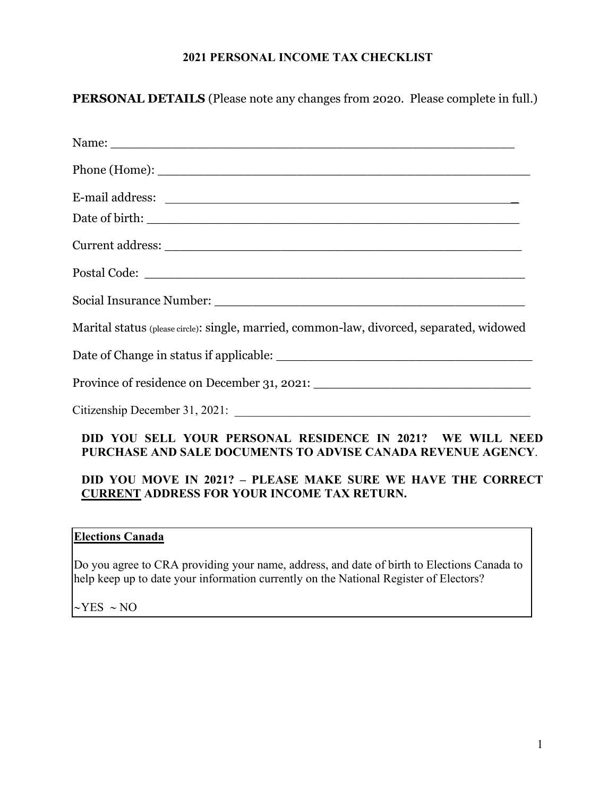## **2021 PERSONAL INCOME TAX CHECKLIST**

**PERSONAL DETAILS** (Please note any changes from 2020. Please complete in full.)

| Marital status (please circle): single, married, common-law, divorced, separated, widowed                                  |
|----------------------------------------------------------------------------------------------------------------------------|
|                                                                                                                            |
|                                                                                                                            |
|                                                                                                                            |
| DID YOU SELL YOUR PERSONAL RESIDENCE IN 2021? WE WILL NEED<br>PURCHASE AND SALE DOCUMENTS TO ADVISE CANADA REVENUE AGENCY. |
| BIB VOIL MOVE IN 20219 – BLEACE MAIZE CHBE WE HAVE THE COBBECT                                                             |

## **DID YOU MOVE IN 2021? – PLEASE MAKE SURE WE HAVE THE CORRECT CURRENT ADDRESS FOR YOUR INCOME TAX RETURN.**

## **Elections Canada**

Do you agree to CRA providing your name, address, and date of birth to Elections Canada to help keep up to date your information currently on the National Register of Electors?

 $\sim$ YES  $\sim$  NO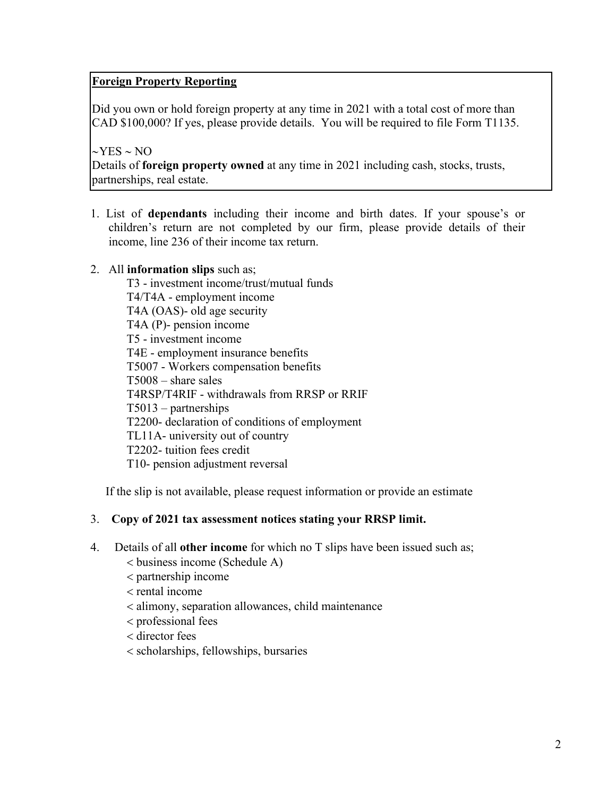# **Foreign Property Reporting**

Did you own or hold foreign property at any time in 2021 with a total cost of more than CAD \$100,000? If yes, please provide details. You will be required to file Form T1135.

 $\sim$ YES  $\sim$  NO Details of **foreign property owned** at any time in 2021 including cash, stocks, trusts, partnerships, real estate.

1. List of **dependants** including their income and birth dates. If your spouse's or children's return are not completed by our firm, please provide details of their income, line 236 of their income tax return.

### 2. All **information slips** such as;

T3 - investment income/trust/mutual funds T4/T4A - employment income T4A (OAS)- old age security T4A (P)- pension income T5 - investment income T4E - employment insurance benefits T5007 - Workers compensation benefits T5008 – share sales T4RSP/T4RIF - withdrawals from RRSP or RRIF T5013 – partnerships T2200- declaration of conditions of employment TL11A- university out of country T2202- tuition fees credit T10- pension adjustment reversal

If the slip is not available, please request information or provide an estimate

### 3. **Copy of 2021 tax assessment notices stating your RRSP limit.**

- 4. Details of all **other income** for which no T slips have been issued such as;
	- business income (Schedule A)
	- partnership income
	- $<$  rental income
	- alimony, separation allowances, child maintenance
	- professional fees
	- director fees
	- scholarships, fellowships, bursaries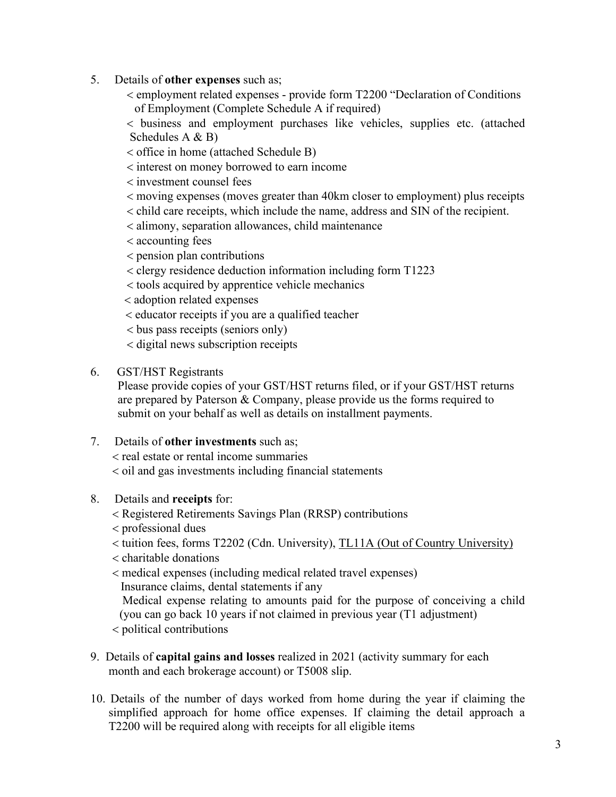- 5. Details of **other expenses** such as;
	- employment related expenses provide form T2200 "Declaration of Conditions of Employment (Complete Schedule A if required)

 business and employment purchases like vehicles, supplies etc. (attached Schedules A & B)

- office in home (attached Schedule B)
- interest on money borrowed to earn income

investment counsel fees

- moving expenses (moves greater than 40km closer to employment) plus receipts
- child care receipts, which include the name, address and SIN of the recipient.
- alimony, separation allowances, child maintenance
- accounting fees
- pension plan contributions
- clergy residence deduction information including form T1223
- tools acquired by apprentice vehicle mechanics
- adoption related expenses
- educator receipts if you are a qualified teacher
- bus pass receipts (seniors only)
- digital news subscription receipts
- 6. GST/HST Registrants

Please provide copies of your GST/HST returns filed, or if your GST/HST returns are prepared by Paterson & Company, please provide us the forms required to submit on your behalf as well as details on installment payments.

7. Details of **other investments** such as;

real estate or rental income summaries

 $\alpha$  < oil and gas investments including financial statements

- 8. Details and **receipts** for:
	- Registered Retirements Savings Plan (RRSP) contributions
	- professional dues
	- tuition fees, forms T2202 (Cdn. University), TL11A (Out of Country University)
	- $\epsilon$  charitable donations
	- medical expenses (including medical related travel expenses) Insurance claims, dental statements if any

 Medical expense relating to amounts paid for the purpose of conceiving a child (you can go back 10 years if not claimed in previous year (T1 adjustment)

political contributions

- 9. Details of **capital gains and losses** realized in 2021 (activity summary for each month and each brokerage account) or T5008 slip.
- 10. Details of the number of days worked from home during the year if claiming the simplified approach for home office expenses. If claiming the detail approach a T2200 will be required along with receipts for all eligible items